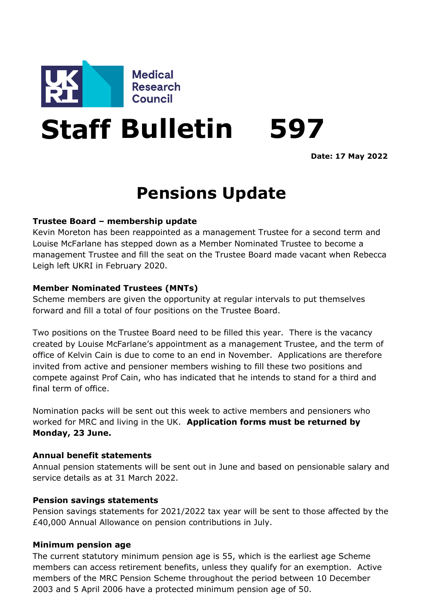

# **Staff Bulletin 597**

**Date: 17 May 2022**

# **Pensions Update**

## **Trustee Board – membership update**

Kevin Moreton has been reappointed as a management Trustee for a second term and Louise McFarlane has stepped down as a Member Nominated Trustee to become a management Trustee and fill the seat on the Trustee Board made vacant when Rebecca Leigh left UKRI in February 2020.

#### **Member Nominated Trustees (MNTs)**

Scheme members are given the opportunity at regular intervals to put themselves forward and fill a total of four positions on the Trustee Board.

Two positions on the Trustee Board need to be filled this year. There is the vacancy created by Louise McFarlane's appointment as a management Trustee, and the term of office of Kelvin Cain is due to come to an end in November. Applications are therefore invited from active and pensioner members wishing to fill these two positions and compete against Prof Cain, who has indicated that he intends to stand for a third and final term of office.

Nomination packs will be sent out this week to active members and pensioners who worked for MRC and living in the UK. **Application forms must be returned by Monday, 23 June.**

#### **Annual benefit statements**

Annual pension statements will be sent out in June and based on pensionable salary and service details as at 31 March 2022.

#### **Pension savings statements**

Pension savings statements for 2021/2022 tax year will be sent to those affected by the £40,000 Annual Allowance on pension contributions in July.

#### **Minimum pension age**

The current statutory minimum pension age is 55, which is the earliest age Scheme members can access retirement benefits, unless they qualify for an exemption. Active members of the MRC Pension Scheme throughout the period between 10 December 2003 and 5 April 2006 have a protected minimum pension age of 50.